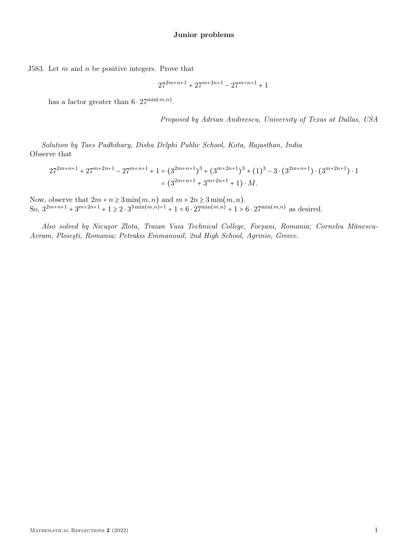J583. Let  $m$  and  $n$  be positive integers. Prove that

$$
27^{2m+n+1} + 27^{m+2n+1} - 27^{m+n+1} + 1
$$

has a factor greater than  $6 \cdot 27^{\min(m,n)}$ .

Proposed by Adrian Andreescu, University of Texas at Dallas, USA

Solution by Taes Padhihary, Disha Delphi Public School, Kota, Rajasthan, India Observe that

$$
27^{2m+n+1} + 27^{m+2n+1} - 27^{m+n+1} + 1 = (3^{2m+n+1})^3 + (3^{m+2n+1})^3 + (1)^3 - 3 \cdot (3^{2m+n+1}) \cdot (3^{m+2n+1}) \cdot 1
$$
  
=  $(3^{2m+n+1} + 3^{m+2n+1} + 1) \cdot M$ .

Now, observe that  $2m + n \ge 3 \min(m, n)$  and  $m + 2n \ge 3 \min(m, n)$ . So,  $3^{2m+n+1} + 3^{m+2n+1} + 1 \ge 2 \cdot 3^{3\min(m,n)+1} + 1 = 6 \cdot 27^{\min(m,n)} + 1 > 6 \cdot 27^{\min(m,n)}$  as desired.

Also solved by Nicuşor Zlota, Traian Vuia Technical College, Focşani, Romania; Corneliu Mănescu-Avram, Ploieşti, Romania; Petrakis Emmanouil, 2nd High School, Agrinio, Greece.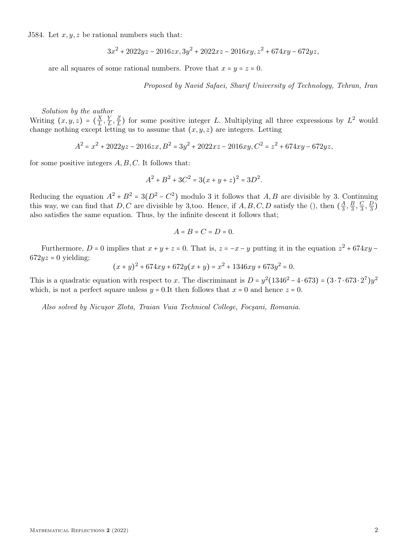J584. Let  $x, y, z$  be rational numbers such that:

$$
3x^2 + 2022yz - 2016zx, 3y^2 + 2022xz - 2016xy, z^2 + 674xy - 672yz,
$$

are all squares of some rational numbers. Prove that  $x = y = z = 0$ .

Proposed by Navid Safaei, Sharif University of Technology, Tehran, Iran

## Solution by the author

Writing  $(x, y, z) = \left(\frac{X}{L}\right)$  $\frac{X}{L}$ ,  $\frac{Y}{L}$  $\frac{Y}{L}, \frac{Z}{L}$  $\frac{Z}{L}$ ) for some positive integer L. Multiplying all three expressions by  $L^2$  would change nothing except letting us to assume that  $(x, y, z)$  are integers. Letting

$$
A^{2} = x^{2} + 2022yz - 2016zx, B^{2} = 3y^{2} + 2022xz - 2016xy, C^{2} = z^{2} + 674xy - 672yz,
$$

for some positive integers  $A, B, C$ . It follows that:

$$
A^2 + B^2 + 3C^2 = 3(x + y + z)^2 = 3D^2.
$$

Reducing the equation  $A^2 + B^2 = 3(D^2 - C^2)$  modulo 3 it follows that  $A, B$  are divisible by 3. Continuing this way, we can find that D, C are divisible by 3, too. Hence, if  $A, B, C, D$  satisfy the (), then  $(\frac{A}{3})$  $\frac{A}{3}, \frac{B}{3}$  $\frac{B}{3}, \frac{C}{3}$  $\frac{C}{3}, \frac{D}{3}$  $\frac{1}{3}$ also satisfies the same equation. Thus, by the infinite descent it follows that;

$$
A=B=C=D=0.
$$

Furthermore, D = 0 implies that  $x + y + z = 0$ . That is,  $z = -x - y$  putting it in the equation  $z^2 + 674xy - z$  $672yz = 0$  yielding;

$$
(x+y)^2 + 674xy + 672y(x+y) = x^2 + 1346xy + 673y^2 = 0.
$$

This is a quadratic equation with respect to x. The discriminant is  $D = y^2(1346^2 - 4 \cdot 673) = (3 \cdot 7 \cdot 673 \cdot 2^7)y^2$ which, is not a perfect square unless  $y = 0.1t$  then follows that  $x = 0$  and hence  $z = 0$ .

Also solved by Nicuşor Zlota, Traian Vuia Technical College, Focşani, Romania.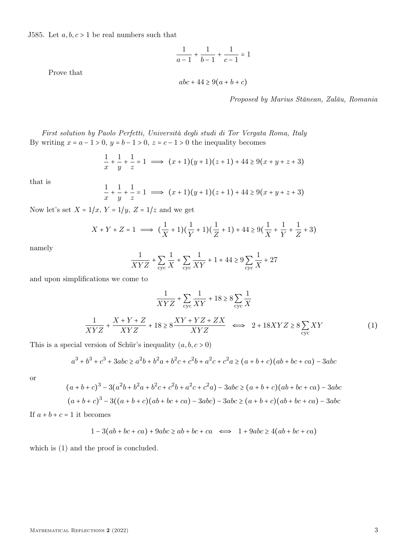J585. Let  $a, b, c > 1$  be real numbers such that

$$
\frac{1}{a-1} + \frac{1}{b-1} + \frac{1}{c-1} = 1
$$

Prove that

 $abc + 44 \ge 9(a + b + c)$ 

Proposed by Marius Stănean, Zalău, Romania

First solution by Paolo Perfetti, Università degli studi di Tor Vergata Roma, Italy By writing  $x = a - 1 > 0$ ,  $y = b - 1 > 0$ ,  $z = c - 1 > 0$  the inequality becomes

$$
\frac{1}{x} + \frac{1}{y} + \frac{1}{z} = 1 \implies (x+1)(y+1)(z+1) + 44 \ge 9(x+y+z+3)
$$

that is

$$
\frac{1}{x} + \frac{1}{y} + \frac{1}{z} = 1 \implies (x+1)(y+1)(z+1) + 44 \ge 9(x+y+z+3)
$$

Now let's set  $X = 1/x$ ,  $Y = 1/y$ ,  $Z = 1/z$  and we get

$$
X + Y + Z = 1 \implies (\frac{1}{X} + 1)(\frac{1}{Y} + 1)(\frac{1}{Z} + 1) + 44 \ge 9(\frac{1}{X} + \frac{1}{Y} + \frac{1}{Z} + 3)
$$

namely

$$
\frac{1}{XYZ} + \sum_{\text{cyc}} \frac{1}{X} + \sum_{\text{cyc}} \frac{1}{XY} + 1 + 44 \ge 9\sum_{\text{cyc}} \frac{1}{X} + 27
$$

and upon simplifications we come to

$$
\frac{1}{XYZ} + \sum_{\text{cyc}} \frac{1}{XY} + 18 \ge 8 \sum_{\text{cyc}} \frac{1}{X}
$$
\n
$$
\frac{1}{XYZ} + \frac{X + Y + Z}{XYZ} + 18 \ge 8 \frac{XY + YZ + ZX}{XYZ} \iff 2 + 18XYZ \ge 8 \sum_{\text{cyc}} XY \tag{1}
$$

This is a special version of Schür's inequality  $(a, b, c > 0)$ 

$$
a^3 + b^3 + c^3 + 3abc \ge a^2b + b^2a + b^2c + c^2b + a^2c + c^2a \ge (a+b+c)(ab+bc+ca) - 3abc
$$

or

$$
(a+b+c)^3 - 3(a^2b+b^2a+b^2c+c^2b+a^2c+c^2a) - 3abc \ge (a+b+c)(ab+bc+ca) - 3abc
$$
  

$$
(a+b+c)^3 - 3((a+b+c)(ab+bc+ca) - 3abc) - 3abc \ge (a+b+c)(ab+bc+ca) - 3abc
$$

If  $a + b + c = 1$  it becomes

$$
1 - 3(ab + bc + ca) + 9abc \ge ab + bc + ca \iff 1 + 9abc \ge 4(ab + bc + ca)
$$

which is (1) and the proof is concluded.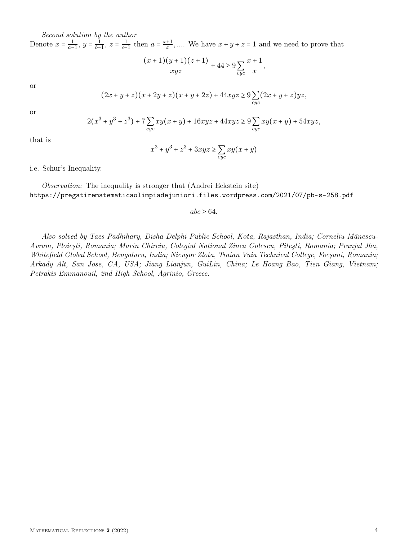Second solution by the author

Denote  $x = \frac{1}{a-1}$  $\frac{1}{a-1}, y = \frac{1}{b-1}$  $\frac{1}{b-1}$ ,  $z = \frac{1}{c-1}$  $\frac{1}{c-1}$  then  $a = \frac{x+1}{x}$  $\frac{+1}{x}$ ,.... We have  $x + y + z = 1$  and we need to prove that

$$
\frac{(x+1)(y+1)(z+1)}{xyz} + 44 \ge 9\sum_{cyc} \frac{x+1}{x},
$$

or

$$
(2x + y + z)(x + 2y + z)(x + y + 2z) + 44xyz \ge 9\sum_{cyc} (2x + y + z)yz,
$$

or

$$
2(x^{3} + y^{3} + z^{3}) + 7\sum_{cyc} xy(x + y) + 16xyz + 44xyz \ge 9\sum_{cyc} xy(x + y) + 54xyz,
$$

that is

$$
x^3 + y^3 + z^3 + 3xyz \ge \sum_{cyc} xy(x + y)
$$

i.e. Schur's Inequality.

Observation: The inequality is stronger that (Andrei Eckstein site) https://pregatirematematicaolimpiadejuniori.files.wordpress.com/2021/07/pb-s-258.pdf

 $abc \geq 64$ .

Also solved by Taes Padhihary, Disha Delphi Public School, Kota, Rajasthan, India; Corneliu Mănescu-Avram, Ploieşti, Romania; Marin Chirciu, Colegiul National Zinca Golescu, Piteşti, Romania; Pranjal Jha, Whitefield Global School, Bengaluru, India; Nicuşor Zlota, Traian Vuia Technical College, Focşani, Romania; Arkady Alt, San Jose, CA, USA; Jiang Lianjun, GuiLin, China; Le Hoang Bao, Tien Giang, Vietnam; Petrakis Emmanouil, 2nd High School, Agrinio, Greece.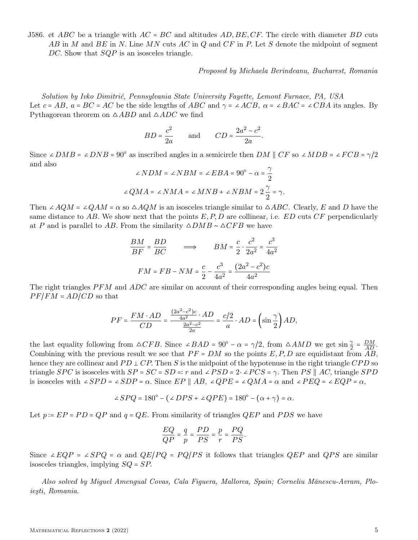J586. et ABC be a triangle with  $AC = BC$  and altitudes  $AD, BE, CF$ . The circle with diameter BD cuts AB in M and BE in N. Line MN cuts AC in Q and  $CF$  in P. Let S denote the midpoint of segment DC. Show that  $SQP$  is an isosceles triangle.

Proposed by Michaela Berindeanu, Bucharest, Romania

Solution by Ivko Dimitrić, Pennsylvania State University Fayette, Lemont Furnace, PA, USA Let  $c = AB$ ,  $a = BC = AC$  be the side lengths of ABC and  $\gamma = \angle ACB$ ,  $\alpha = \angle BAC = \angle CBA$  its angles. By Pythagorean theorem on  $\triangle ABD$  and  $\triangle ADC$  we find

$$
BD = \frac{c^2}{2a} \qquad \text{and} \qquad CD = \frac{2a^2 - c^2}{2a}.
$$

Since ∠ $DMB = \angle DNB = 90^{\circ}$  as inscribed angles in a semicircle then  $DM \parallel CF$  so ∠ $MDB = \angle FCB = \gamma/2$ and also

$$
\angle NDM = \angle NBM = \angle EBA = 90^{\circ} - \alpha = \frac{\gamma}{2}
$$
  

$$
\angle QMA = \angle NMA = \angle MNB + \angle NBM = 2\frac{\gamma}{2} = \gamma.
$$

Then ∠AQM = ∠QAM =  $\alpha$  so  $\triangle AQM$  is an isosceles triangle similar to  $\triangle ABC$ . Clearly, E and D have the same distance to AB. We show next that the points  $E, P, D$  are collinear, i.e. ED cuts  $CF$  perpendicularly at P and is parallel to AB. From the similarity  $\triangle DMB \sim \triangle CFB$  we have

$$
\frac{BM}{BF} = \frac{BD}{BC} \qquad \Longrightarrow \qquad BM = \frac{c}{2} \cdot \frac{c^2}{2a^2} = \frac{c^3}{4a^2}
$$
\n
$$
FM = FB - NM = \frac{c}{2} - \frac{c^3}{4a^2} = \frac{(2a^2 - c^2)c}{4a^2}
$$

The right triangles  $PFM$  and  $ADC$  are similar on account of their corresponding angles being equal. Then  $PF/FM = AD/CD$  so that

$$
PF = \frac{FM \cdot AD}{CD} = \frac{\frac{(2a^2-c^2)c}{4a^2} \cdot AD}{\frac{2a^2-c^2}{2a}} = \frac{c/2}{a} \cdot AD = \left(\sin \frac{\gamma}{2}\right) AD,
$$

the last equality following from  $\triangle CFB$ . Since ∠BAD = 90° –  $\alpha = \gamma/2$ , from  $\triangle AMD$  we get  $\sin \frac{\gamma}{2} = \frac{DM}{AD}$ . Combining with the previous result we see that  $PF = DM$  so the points  $E, P, D$  are equidistant from AB, hence they are collinear and  $PD \perp CP$ . Then S is the midpoint of the hypotenuse in the right triangle CPD so triangle SPC is isosceles with  $SP = SC = SD = r$  and  $\angle PSD = 2 \cdot \angle PCS = \gamma$ . Then PS  $\parallel AC$ , triangle SPD is isosceles with ∠ $SPD = \angle SDP = \alpha$ . Since  $EP \parallel AB$ , ∠ $QPE = \angle QMA = \alpha$  and ∠ $PEQ = \angle EQP = \alpha$ ,

$$
\angle SPQ = 180^{\circ} - (\angle DPS + \angle QPE) = 180^{\circ} - (\alpha + \gamma) = \alpha.
$$

Let  $p := EP = PD = QP$  and  $q = QE$ . From similarity of triangles  $QEP$  and PDS we have

$$
\frac{EQ}{QP} = \frac{q}{p} = \frac{PD}{PS} = \frac{p}{r} = \frac{PQ}{PS}.
$$

Since ∠EQP = ∠SPQ =  $\alpha$  and QE/PQ = PQ/PS it follows that triangles QEP and QPS are similar isosceles triangles, implying  $SQ = SP$ .

Also solved by Miguel Amengual Covas, Cala Figuera, Mallorca, Spain; Corneliu Mănescu-Avram, Ploieşti, Romania.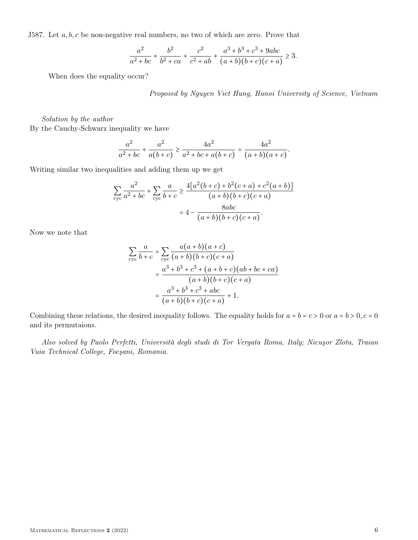J587. Let  $a, b, c$  be non-negative real numbers, no two of which are zero. Prove that

$$
\frac{a^2}{a^2 + bc} + \frac{b^2}{b^2 + ca} + \frac{c^2}{c^2 + ab} + \frac{a^3 + b^3 + c^3 + 9abc}{(a+b)(b+c)(c+a)} \ge 3.
$$

When does the equality occur?

Proposed by Nguyen Viet Hung, Hanoi University of Science, Vietnam

.

Solution by the author By the Cauchy-Schwarz inequality we have

$$
\frac{a^2}{a^2 + bc} + \frac{a^2}{a(b+c)} \ge \frac{4a^2}{a^2 + bc + a(b+c)} = \frac{4a^2}{(a+b)(a+c)}
$$

Writing similar two inequalities and adding them up we get

$$
\sum_{\text{cyc}} \frac{a^2}{a^2 + bc} + \sum_{\text{cyc}} \frac{a}{b + c} \ge \frac{4[a^2(b + c) + b^2(c + a) + c^2(a + b)]}{(a + b)(b + c)(c + a)}
$$

$$
= 4 - \frac{8abc}{(a + b)(b + c)(c + a)}.
$$

Now we note that

$$
\sum_{\text{cyc}} \frac{a}{b+c} = \sum_{\text{cyc}} \frac{a(a+b)(a+c)}{(a+b)(b+c)(c+a)} \n= \frac{a^3 + b^3 + c^3 + (a+b+c)(ab+bc+ca)}{(a+b)(b+c)(c+a)} \n= \frac{a^3 + b^3 + c^3 + abc}{(a+b)(b+c)(c+a)} + 1.
$$

Combining these relations, the desired inequality follows. The equality holds for  $a = b = c > 0$  or  $a = b > 0$ ,  $c = 0$ and its permutaions.

Also solved by Paolo Perfetti, Università degli studi di Tor Vergata Roma, Italy; Nicuşor Zlota, Traian Vuia Technical College, Focşani, Romania.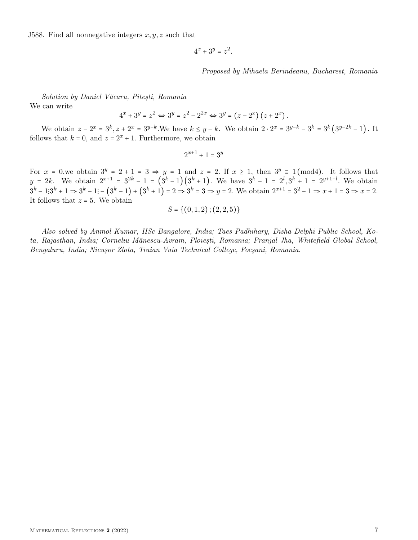J588. Find all nonnegative integers  $x, y, z$  such that

$$
4^x + 3^y = z^2.
$$

Proposed by Mihaela Berindeanu, Bucharest, Romania

Solution by Daniel Văcaru, Pitești, Romania We can write

$$
4^x + 3^y = z^2 \Leftrightarrow 3^y = z^2 - 2^{2x} \Leftrightarrow 3^y = (z - 2^x) (z + 2^x).
$$

We obtain  $z - 2^x = 3^k, z + 2^x = 3^{y-k}$ . We have  $k \le y - k$ . We obtain  $2 \cdot 2^x = 3^{y-k} - 3^k = 3^k (3^{y-2k} - 1)$ . It follows that  $k = 0$ , and  $z = 2^x + 1$ . Furthermore, we obtain

$$
2^{x+1} + 1 = 3^y
$$

For  $x = 0$ , we obtain  $3^y = 2 + 1 = 3 \Rightarrow y = 1$  and  $z = 2$ . If  $x \ge 1$ , then  $3^y \equiv 1 \pmod{4}$ . It follows that  $y = 2k$ . We obtain  $2^{x+1} = 3^{2k} - 1 = (3^k - 1)(3^k + 1)$ . We have  $3^k - 1 = 2^l, 3^k + 1 = 2^{y+1-l}$ . We obtain  $3^k - 1; 3^k + 1 \Rightarrow 3^k - 1; - (3^k - 1) + (3^k + 1) = 2 \Rightarrow 3^k = 3 \Rightarrow y = 2.$  We obtain  $2^{x+1} = 3^2 - 1 \Rightarrow x + 1 = 3 \Rightarrow x = 2.$ It follows that  $z = 5$ . We obtain

$$
S = \{(0,1,2)\,;\,(2,2,5)\}
$$

Also solved by Anmol Kumar, IISc Bangalore, India; Taes Padhihary, Disha Delphi Public School, Kota, Rajasthan, India; Corneliu Mănescu-Avram, Ploieşti, Romania; Pranjal Jha, Whitefield Global School, Bengaluru, India; Nicuşor Zlota, Traian Vuia Technical College, Focşani, Romania.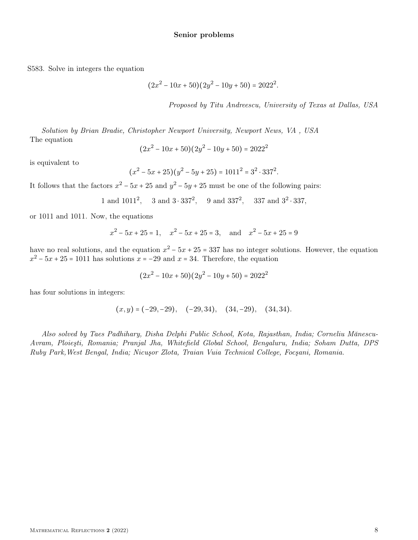S583. Solve in integers the equation

$$
(2x2 - 10x + 50)(2y2 - 10y + 50) = 20222.
$$

Proposed by Titu Andreescu, University of Texas at Dallas, USA

Solution by Brian Bradie, Christopher Newport University, Newport News, VA , USA The equation

$$
(2x^2 - 10x + 50)(2y^2 - 10y + 50) = 2022^2
$$

is equivalent to

$$
(x2 - 5x + 25)(y2 - 5y + 25) = 10112 = 32 \cdot 3372.
$$

It follows that the factors  $x^2 - 5x + 25$  and  $y^2 - 5y + 25$  must be one of the following pairs:

1 and 
$$
1011^2
$$
, 3 and  $3 \cdot 337^2$ , 9 and  $337^2$ , 337 and  $3^2 \cdot 337$ ,

or 1011 and 1011. Now, the equations

$$
x^2 - 5x + 25 = 1
$$
,  $x^2 - 5x + 25 = 3$ , and  $x^2 - 5x + 25 = 9$ 

have no real solutions, and the equation  $x^2 - 5x + 25 = 337$  has no integer solutions. However, the equation  $x^2 - 5x + 25 = 1011$  has solutions  $x = -29$  and  $x = 34$ . Therefore, the equation

$$
(2x^2 - 10x + 50)(2y^2 - 10y + 50) = 2022^2
$$

has four solutions in integers:

$$
(x,y) = (-29,-29), \quad (-29,34), \quad (34,-29), \quad (34,34).
$$

Also solved by Taes Padhihary, Disha Delphi Public School, Kota, Rajasthan, India; Corneliu Mănescu-Avram, Ploieşti, Romania; Pranjal Jha, Whitefield Global School, Bengaluru, India; Soham Dutta, DPS Ruby Park,West Bengal, India; Nicuşor Zlota, Traian Vuia Technical College, Focşani, Romania.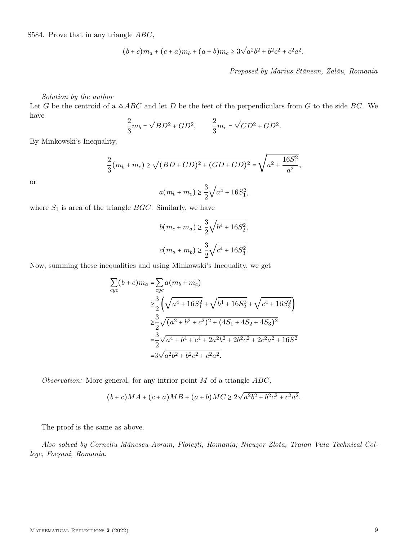S584. Prove that in any triangle ABC,

$$
(b+c)m_a + (c+a)m_b + (a+b)m_c \ge 3\sqrt{a^2b^2 + b^2c^2 + c^2a^2}.
$$

Proposed by Marius Stănean, Zalău, Romania

Solution by the author

Let G be the centroid of a  $\triangle ABC$  and let D be the feet of the perpendiculars from G to the side BC. We have

$$
\frac{2}{3}m_b = \sqrt{BD^2 + GD^2}, \qquad \frac{2}{3}m_c = \sqrt{CD^2 + GD^2}.
$$

By Minkowski's Inequality,

$$
\frac{2}{3}(m_b + m_c) \ge \sqrt{(BD + CD)^2 + (GD + GD)^2} = \sqrt{a^2 + \frac{16S_1^2}{a^2}},
$$

or

$$
a(m_b + m_c) \ge \frac{3}{2}\sqrt{a^4 + 16S_1^2},
$$

where  $S_1$  is area of the triangle  $BGC$ . Similarly, we have

$$
b(m_c + m_a) \ge \frac{3}{2}\sqrt{b^4 + 16S_2^2},
$$
  

$$
c(m_a + m_b) \ge \frac{3}{2}\sqrt{c^4 + 16S_3^2}.
$$

Now, summing these inequalities and using Minkowski's Inequality, we get

$$
\sum_{cyc} (b + c) m_a = \sum_{cyc} a(m_b + m_c)
$$
  
\n
$$
\geq \frac{3}{2} \left( \sqrt{a^4 + 16S_1^2} + \sqrt{b^4 + 16S_2^2} + \sqrt{c^4 + 16S_3^2} \right)
$$
  
\n
$$
\geq \frac{3}{2} \sqrt{(a^2 + b^2 + c^2)^2 + (4S_1 + 4S_2 + 4S_3)^2}
$$
  
\n
$$
= \frac{3}{2} \sqrt{a^4 + b^4 + c^4 + 2a^2b^2 + 2b^2c^2 + 2c^2a^2 + 16S^2}
$$
  
\n
$$
= 3\sqrt{a^2b^2 + b^2c^2 + c^2a^2}.
$$

Observation: More general, for any intrior point  $M$  of a triangle  $ABC$ ,

$$
(b+c)MA + (c+a)MB + (a+b)MC \ge 2\sqrt{a^2b^2 + b^2c^2 + c^2a^2}.
$$

The proof is the same as above.

Also solved by Corneliu Mănescu-Avram, Ploieşti, Romania; Nicuşor Zlota, Traian Vuia Technical College, Focşani, Romania.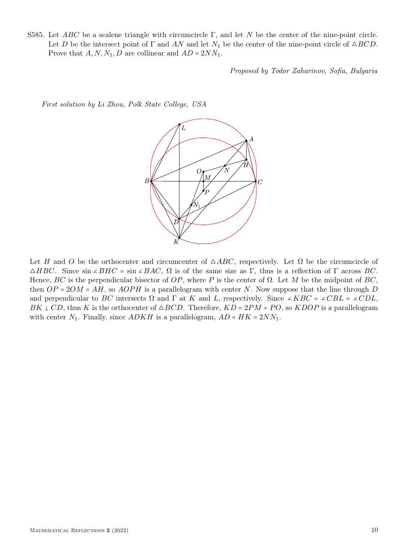S585. Let ABC be a scalene triangle with circumcircle Γ, and let N be the center of the nine-point circle. Let D be the intersect point of  $\Gamma$  and AN and let  $N_1$  be the center of the nine-point circle of  $\triangle BCD$ . Prove that  $A, N, N_1, D$  are collinear and  $AD = 2NN_1$ .

Proposed by Todor Zaharinov, Sofia, Bulgaria

First solution by Li Zhou, Polk State College, USA



Let H and O be the orthocenter and circumcenter of  $\triangle ABC$ , respectively. Let  $\Omega$  be the circumcircle of  $\triangle HBC$ . Since  $\sin \angle BHC = \sin \angle BAC$ ,  $\Omega$  is of the same size as Γ, thus is a reflection of Γ across BC. Hence, BC is the perpendicular bisector of OP, where P is the center of  $\Omega$ . Let M be the midpoint of BC, then  $OP = 2OM = AH$ , so  $AOPH$  is a parallelogram with center N. Now suppose that the line through D and perpendicular to BC intersects  $\Omega$  and  $\Gamma$  at K and L, respectively. Since ∠KBC = ∠CBL = ∠CDL,  $BK \perp CD$ , thus K is the orthocenter of  $\triangle BCD$ . Therefore,  $KD = 2PM = PO$ , so  $KDOP$  is a parallelogram with center  $N_1$ . Finally, since  $ADKH$  is a parallelogram,  $AD = HK = 2NN_1$ .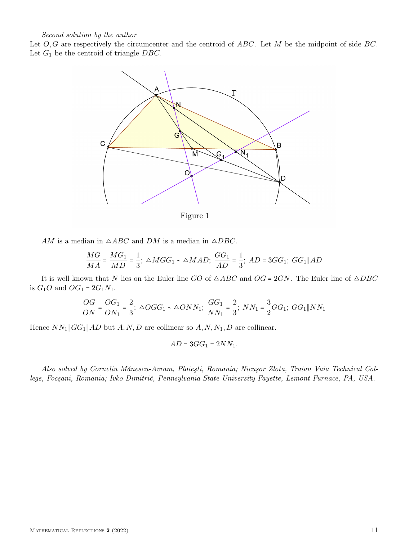## Second solution by the author

Let  $O, G$  are respectively the circumcenter and the centroid of  $ABC$ . Let M be the midpoint of side  $BC$ . Let  $G_1$  be the centroid of triangle  $DBC$ .



Figure 1

AM is a median in  $\triangle ABC$  and DM is a median in  $\triangle DBC$ .

$$
\frac{MG}{MA} = \frac{MG_1}{MD} = \frac{1}{3}; \ \triangle MGG_1 \sim \triangle MAD; \ \frac{GG_1}{AD} = \frac{1}{3}; \ AD = 3GG_1; \ GG_1 \| AD
$$

It is well known that N lies on the Euler line GO of  $\triangle ABC$  and  $OG = 2GN$ . The Euler line of  $\triangle DBC$ is  $G_1O$  and  $OG_1 = 2G_1N_1$ .

$$
\frac{OG}{ON}=\frac{OG_1}{ON_1}=\frac{2}{3};\ \triangle OGG_1\sim \triangle ONN_1;\ \frac{GG_1}{NN_1}=\frac{2}{3};\ NN_1=\frac{3}{2}GG_1;\ GG_1\|NN_1
$$

Hence  $NN_1$   $\|GG_1\|AD$  but  $A, N, D$  are collinear so  $A, N, N_1, D$  are collinear.

$$
AD = 3GG_1 = 2NN_1.
$$

Also solved by Corneliu Mănescu-Avram, Ploieşti, Romania; Nicuşor Zlota, Traian Vuia Technical College, Focşani, Romania; Ivko Dimitrić, Pennsylvania State University Fayette, Lemont Furnace, PA, USA.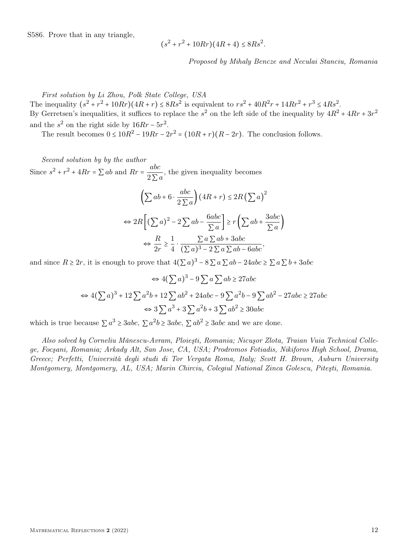S586. Prove that in any triangle,

$$
(s^2 + r^2 + 10Rr)(4R + 4) \le 8Rs^2
$$

Proposed by Mihaly Bencze and Neculai Stanciu, Romania

.

First solution by Li Zhou, Polk State College, USA

The inequality  $(s^2 + r^2 + 10Rr)(4R + r) \leq 8Rs^2$  is equivalent to  $rs^2 + 40R^2r + 14Rr^2 + r^3 \leq 4Rs^2$ . By Gerretsen's inequalities, it suffices to replace the  $s^2$  on the left side of the inequality by  $4R^2 + 4Rr + 3r^2$ and the  $s^2$  on the right side by  $16Rr - 5r^2$ .

The result becomes  $0 \leq 10R^2 - 19Rr - 2r^2 = (10R + r)(R - 2r)$ . The conclusion follows.

Second solution by by the author Since  $s^2 + r^2 + 4Rr = \sum ab$  and  $Rr = \frac{abc}{2\sum b}$  $\frac{1}{2 \sum a}$ , the given inequality becomes

$$
\left(\sum ab + 6 \cdot \frac{abc}{2\sum a}\right) \left(4R + r\right) \le 2R\left(\sum a\right)^2
$$

$$
\Leftrightarrow 2R\left[\left(\sum a\right)^2 - 2\sum ab - \frac{6abc}{\sum a}\right] \ge r\left(\sum ab + \frac{3abc}{\sum a}\right)
$$

$$
\Leftrightarrow \frac{R}{2r} \ge \frac{1}{4} \cdot \frac{\sum a \sum ab + 3abc}{(\sum a)^3 - 2\sum a \sum ab - 6abc},
$$

and since  $R \ge 2r$ , it is enough to prove that  $4(\sum a)^3 - 8\sum a \sum ab - 24abc \ge \sum a \sum b + 3abc$ 

$$
\Leftrightarrow 4(\sum a)^3 - 9\sum a\sum ab \ge 27abc
$$
  

$$
\Leftrightarrow 4(\sum a)^3 + 12\sum a^2b + 12\sum ab^2 + 24abc - 9\sum a^2b - 9\sum ab^2 - 27abc \ge 27abc
$$
  

$$
\Leftrightarrow 3\sum a^3 + 3\sum a^2b + 3\sum ab^2 \ge 30abc
$$

which is true because  $\sum a^3 \ge 3abc$ ,  $\sum a^2b \ge 3abc$ ,  $\sum ab^2 \ge 3abc$  and we are done.

Also solved by Corneliu Mănescu-Avram, Ploieşti, Romania; Nicuşor Zlota, Traian Vuia Technical College, Focşani, Romania; Arkady Alt, San Jose, CA, USA; Prodromos Fotiadis, Nikiforos High School, Drama, Greece; Perfetti, Università degli studi di Tor Vergata Roma, Italy; Scott H. Brown, Auburn University Montgomery, Montgomery, AL, USA; Marin Chirciu, Colegiul National Zinca Golescu, Piteşti, Romania.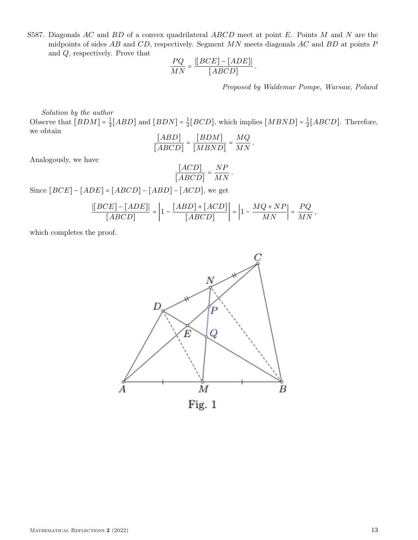S587. Diagonals  $AC$  and  $BD$  of a convex quadrilateral  $ABCD$  meet at point E. Points M and N are the midpoints of sides  $AB$  and  $CD$ , respectively. Segment  $MN$  meets diagonals  $AC$  and  $BD$  at points  $P$ and Q, respectively. Prove that

$$
\frac{PQ}{MN} = \frac{[[BCE] - [ADE]]}{[ABCD]}
$$

.

Proposed by Waldemar Pompe, Warsaw, Poland

Solution by the author

Observe that  $[BDM] = \frac{1}{2}$  $\frac{1}{2}[ABD]$  and  $[BDN] = \frac{1}{2}$  $\frac{1}{2}[BCD]$ , which implies  $[MBND] = \frac{1}{2}$  $\frac{1}{2}[ABCD]$ . Therefore, we obtain

$$
\frac{[ABD]}{[ABCD]} = \frac{[BDM]}{[MBND]} = \frac{MQ}{MN}.
$$

Analogously, we have

$$
\frac{[ACD]}{[ABCD]} = \frac{NP}{MN}
$$

.

Since  $[BCE] - [ADE] = [ABCD] - [ABD] - [ACD]$ , we get

$$
\frac{\left|[BCE\right]-[ADE]\right|}{[ABCD]} = \left|1 - \frac{[ABD] + [ACD]}{[ABCD]}\right| = \left|1 - \frac{MQ + NP}{MN}\right| = \frac{PQ}{MN},
$$

which completes the proof.

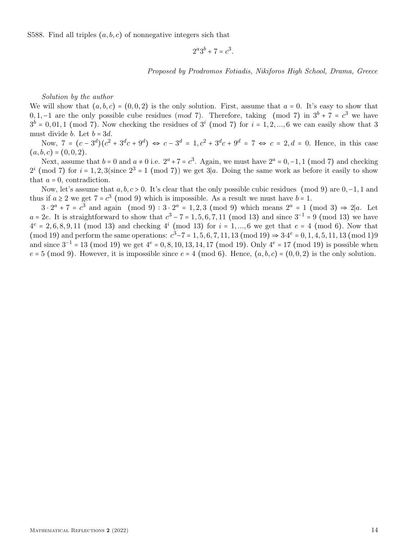S588. Find all triples  $(a, b, c)$  of nonnegative integers sich that

 $2^a 3^b + 7 = c^3$ .

Proposed by Prodromos Fotiadis, Nikiforos High School, Drama, Greece

Solution by the author

We will show that  $(a, b, c) = (0, 0, 2)$  is the only solution. First, assume that  $a = 0$ . It's easy to show that 0, 1, -1 are the only possible cube residues (*mod* 7). Therefore, taking (mod 7) in  $3^b + 7 = c^3$  we have  $3^b$  = 0,01,1 (mod 7). Now checking the residues of  $3^i$  (mod 7) for  $i = 1, 2, ..., 6$  we can easily show that 3 must divide *b*. Let  $b = 3d$ .

Now,  $7 = (c - 3^d)(c^2 + 3^dc + 9^d) \Leftrightarrow c - 3^d = 1, c^2 + 3^dc + 9^d = 7 \Leftrightarrow c = 2, d = 0$ . Hence, in this case  $(a, b, c) = (0, 0, 2).$ 

Next, assume that  $b = 0$  and  $a \neq 0$  i.e.  $2^a + 7 = c^3$ . Again, we must have  $2^a = 0, -1, 1 \pmod{7}$  and checking  $2^{i} \pmod{7}$  for  $i = 1, 2, 3$  (since  $2^{3} = 1 \pmod{7}$ ) we get  $3|a$ . Doing the same work as before it easily to show that  $a = 0$ , contradiction.

Now, let's assume that  $a, b, c > 0$ . It's clear that the only possible cubic residues (mod 9) are 0,−1, 1 and thus if  $a \ge 2$  we get  $7 = c^3 \pmod{9}$  which is impossible. As a result we must have  $b = 1$ .

 $3 \cdot 2^a + 7 = c^3$  and again (mod 9):  $3 \cdot 2^a = 1, 2, 3 \pmod{9}$  which means  $2^a = 1 \pmod{3} \Rightarrow 2|a$ . Let  $a = 2e$ . It is straightforward to show that  $c^3 - 7 = 1, 5, 6, 7, 11 \pmod{13}$  and since  $3^{-1} = 9 \pmod{13}$  we have  $4^e = 2, 6, 8, 9, 11 \pmod{13}$  and checking  $4^i \pmod{13}$  for  $i = 1, ..., 6$  we get that  $e = 4 \pmod{6}$ . Now that (mod 19) and perform the same operations:  $c^3 - 7 = 1, 5, 6, 7, 11, 13 \text{ (mod 19)} \Rightarrow 3 \cdot 4^e = 0, 1, 4, 5, 11, 13 \text{ (mod 19)}$ and since  $3^{-1}$  = 13 (mod 19) we get  $4^e$  = 0, 8, 10, 13, 14, 17 (mod 19). Only  $4^e$  = 17 (mod 19) is possible when  $e = 5 \pmod{9}$ . However, it is impossible since  $e = 4 \pmod{6}$ . Hence,  $(a, b, c) = (0, 0, 2)$  is the only solution.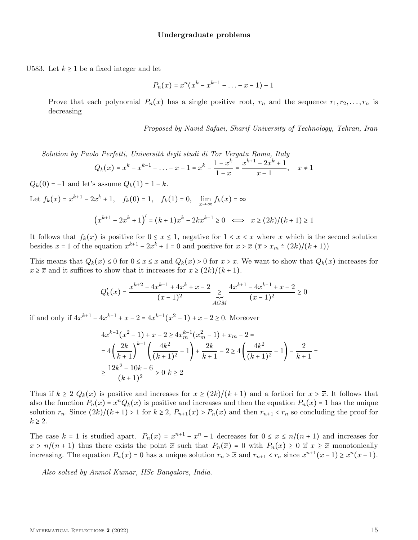## Undergraduate problems

U583. Let  $k \geq 1$  be a fixed integer and let

$$
P_n(x) = x^n(x^k - x^{k-1} - \ldots - x - 1) - 1
$$

Prove that each polynomial  $P_n(x)$  has a single positive root,  $r_n$  and the sequence  $r_1, r_2, \ldots, r_n$  is decreasing

Proposed by Navid Safaei, Sharif University of Technology, Tehran, Iran

Solution by Paolo Perfetti, Università degli studi di Tor Vergata Roma, Italy

$$
Q_k(x) = x^k - x^{k-1} - \ldots - x - 1 = x^k - \frac{1 - x^k}{1 - x} = \frac{x^{k+1} - 2x^k + 1}{x - 1}, \quad x \neq 1
$$

 $Q_k(0) = -1$  and let's assume  $Q_k(1) = 1 - k$ .

Let  $f_k(x) = x^{k+1} - 2x^k + 1$ ,  $f_k(0) = 1$ ,  $f_k(1) = 0$ ,  $\lim_{x \to \infty} f_k(x) = \infty$ 

$$
(x^{k+1} - 2x^k + 1)' = (k+1)x^k - 2kx^{k-1} \ge 0 \iff x \ge (2k)/(k+1) \ge 1
$$

It follows that  $f_k(x)$  is positive for  $0 \le x \le 1$ , negative for  $1 < x < \overline{x}$  where  $\overline{x}$  which is the second solution besides  $x = 1$  of the equation  $x^{k+1} - 2x^k + 1 = 0$  and positive for  $x > \overline{x}$   $(\overline{x} > x_m \div (2k)/(k+1))$ 

This means that  $Q_k(x) \leq 0$  for  $0 \leq x \leq \overline{x}$  and  $Q_k(x) > 0$  for  $x > \overline{x}$ . We want to show that  $Q_k(x)$  increases for  $x \geq \overline{x}$  and it suffices to show that it increases for  $x \geq (2k)/(k+1)$ .

$$
Q'_{k}(x) = \frac{x^{k+2} - 4x^{k-1} + 4x^{k} + x - 2}{(x-1)^{2}} \underset{AGM}{\geq} \frac{4x^{k+1} - 4x^{k-1} + x - 2}{(x-1)^{2}} \geq 0
$$

if and only if  $4x^{k+1} - 4x^{k-1} + x - 2 = 4x^{k-1}(x^2 - 1) + x - 2 \ge 0$ . Moreover

$$
4x^{k-1}(x^2 - 1) + x - 2 \ge 4x_m^{k-1}(x_m^2 - 1) + x_m - 2 =
$$
  
=  $4\left(\frac{2k}{k+1}\right)^{k-1} \left(\frac{4k^2}{(k+1)^2} - 1\right) + \frac{2k}{k+1} - 2 \ge 4\left(\frac{4k^2}{(k+1)^2} - 1\right) - \frac{2}{k+1} =$   
 $\ge \frac{12k^2 - 10k - 6}{(k+1)^2} > 0 \quad k \ge 2$ 

Thus if  $k \ge 2$   $Q_k(x)$  is positive and increases for  $x \ge (2k)/(k+1)$  and a fortiori for  $x > \overline{x}$ . It follows that also the function  $P_n(x) = x^n Q_k(x)$  is positive and increases and then the equation  $P_n(x) = 1$  has the unique solution  $r_n$ . Since  $(2k)/(k+1) > 1$  for  $k \ge 2$ ,  $P_{n+1}(x) > P_n(x)$  and then  $r_{n+1} < r_n$  so concluding the proof for  $k \geq 2$ .

The case  $k = 1$  is studied apart.  $P_n(x) = x^{n+1} - x^n - 1$  decreases for  $0 \le x \le n/(n+1)$  and increases for  $x > n/(n+1)$  thus there exists the point  $\bar{x}$  such that  $P_n(\bar{x}) = 0$  with  $P_n(x) \ge 0$  if  $x \ge \bar{x}$  monotonically increasing. The equation  $P_n(x) = 0$  has a unique solution  $r_n > \overline{x}$  and  $r_{n+1} < r_n$  since  $x^{n+1}(x-1) \ge x^n(x-1)$ .

Also solved by Anmol Kumar, IISc Bangalore, India.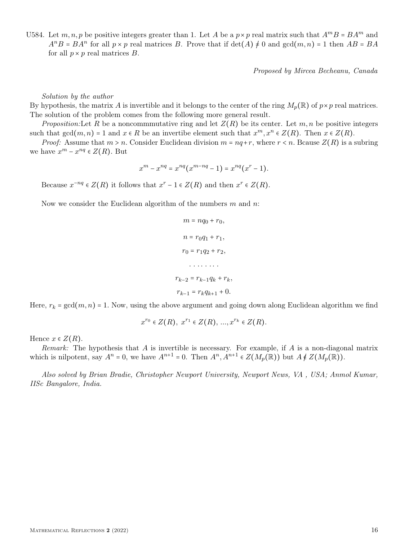U584. Let  $m, n, p$  be positive integers greater than 1. Let A be a  $p \times p$  real matrix such that  $A^m B = BA^m$  and  $A^nB = BA^n$  for all  $p \times p$  real matrices B. Prove that if  $\det(A) \neq 0$  and  $\gcd(m, n) = 1$  then  $AB = BA$ for all  $p \times p$  real matrices  $B$ .

Proposed by Mircea Becheanu, Canada

Solution by the author

By hypothesis, the matrix A is invertible and it belongs to the center of the ring  $M_p(\mathbb{R})$  of  $p \times p$  real matrices. The solution of the problem comes from the following more general result.

*Proposition:* Let R be a noncommmutative ring and let  $Z(R)$  be its center. Let  $m, n$  be positive integers such that  $gcd(m, n) = 1$  and  $x \in R$  be an invertibe element such that  $x^m, x^n \in Z(R)$ . Then  $x \in Z(R)$ .

*Proof:* Assume that  $m > n$ . Consider Euclidean division  $m = nq + r$ , where  $r < n$ . Beause  $Z(R)$  is a subring we have  $x^m - x^{nq} \in Z(R)$ . But

$$
x^{m} - x^{nq} = x^{nq} (x^{m-nq} - 1) = x^{nq} (x^{r} - 1).
$$

Because  $x^{-nq} \in Z(R)$  it follows that  $x^r - 1 \in Z(R)$  and then  $x^r \in Z(R)$ .

Now we consider the Euclidean algorithm of the numbers  $m$  and  $n$ .

$$
m = nq_0 + r_0,
$$
  
\n
$$
n = r_0q_1 + r_1,
$$
  
\n
$$
r_0 = r_1q_2 + r_2,
$$
  
\n
$$
\dots
$$
  
\n
$$
r_{k-2} = r_{k-1}q_k + r_k,
$$
  
\n
$$
r_{k-1} = r_kq_{k+1} + 0.
$$

Here,  $r_k = \gcd(m, n) = 1$ . Now, using the above argument and going down along Euclidean algorithm we find

$$
x^{r_0} \in Z(R), \ x^{r_1} \in Z(R), \dots, x^{r_k} \in Z(R).
$$

Hence  $x \in Z(R)$ .

*Remark:* The hypothesis that  $A$  is invertible is necessary. For example, if  $A$  is a non-diagonal matrix which is nilpotent, say  $A^n = 0$ , we have  $A^{n+1} = 0$ . Then  $A^n, A^{n+1} \in Z(M_p(\mathbb{R}))$  but  $A \notin Z(M_p(\mathbb{R}))$ .

Also solved by Brian Bradie, Christopher Newport University, Newport News, VA , USA; Anmol Kumar, IISc Bangalore, India.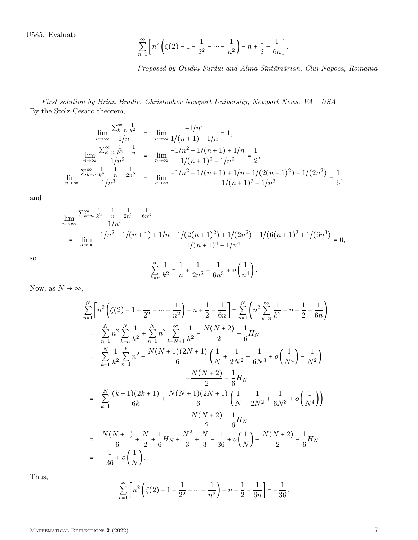U585. Evaluate

$$
\sum_{n=1}^{\infty} \left[ n^2 \left( \zeta(2) - 1 - \frac{1}{2^2} - \dots - \frac{1}{n^2} \right) - n + \frac{1}{2} - \frac{1}{6n} \right].
$$

Proposed by Ovidiu Furdui and Alina Sîntămărian, Cluj-Napoca, Romania

First solution by Brian Bradie, Christopher Newport University, Newport News, VA , USA By the Stolz-Cesaro theorem,

$$
\lim_{n \to \infty} \frac{\sum_{k=n}^{\infty} \frac{1}{k^2}}{1/n} = \lim_{n \to \infty} \frac{-1/n^2}{1/(n+1) - 1/n} = 1,
$$
  

$$
\lim_{n \to \infty} \frac{\sum_{k=n}^{\infty} \frac{1}{k^2} - \frac{1}{n}}{1/n^2} = \lim_{n \to \infty} \frac{-1/n^2 - 1/(n+1) + 1/n}{1/(n+1)^2 - 1/n^2} = \frac{1}{2},
$$
  

$$
\lim_{n \to \infty} \frac{\sum_{k=n}^{\infty} \frac{1}{k^2} - \frac{1}{n} - \frac{1}{2n^2}}{1/n^3} = \lim_{n \to \infty} \frac{-1/n^2 - 1/(n+1) + 1/n - 1/(2(n+1)^2) + 1/(2n^2)}{1/(n+1)^3 - 1/n^3} = \frac{1}{6},
$$

and

$$
\lim_{n \to \infty} \frac{\sum_{k=n}^{\infty} \frac{1}{k^2} - \frac{1}{n} - \frac{1}{2n^2} - \frac{1}{6n^3}}{1/n^4}
$$
\n
$$
= \lim_{n \to \infty} \frac{-1/n^2 - 1/(n+1) + 1/n - 1/(2(n+1)^2) + 1/(2n^2) - 1/(6(n+1)^3 + 1/(6n^3))}{1/(n+1)^4 - 1/n^4} = 0,
$$

so ∞

$$
\sum_{k=n}^{\infty} \frac{1}{k^2} = \frac{1}{n} + \frac{1}{2n^2} + \frac{1}{6n^3} + o\left(\frac{1}{n^4}\right).
$$

Now, as  $N \to \infty$ ,

$$
\sum_{n=1}^{N} \left[ n^{2} \left( \zeta(2) - 1 - \frac{1}{2^{2}} - \cdots - \frac{1}{n^{2}} \right) - n + \frac{1}{2} - \frac{1}{6n} \right] = \sum_{n=1}^{N} \left( n^{2} \sum_{k=n}^{\infty} \frac{1}{k^{2}} - n - \frac{1}{2} - \frac{1}{6n} \right)
$$
\n
$$
= \sum_{n=1}^{N} n^{2} \sum_{k=n}^{N} \frac{1}{k^{2}} + \sum_{n=1}^{N} n^{2} \sum_{k=N+1}^{\infty} \frac{1}{k^{2}} - \frac{N(N+2)}{2} - \frac{1}{6} H_{N}
$$
\n
$$
= \sum_{k=1}^{N} \frac{1}{k^{2}} \sum_{n=1}^{k} n^{2} + \frac{N(N+1)(2N+1)}{6} \left( \frac{1}{N} + \frac{1}{2N^{2}} + \frac{1}{6N^{3}} + o \left( \frac{1}{N^{4}} \right) - \frac{1}{N^{2}} \right)
$$
\n
$$
- \frac{N(N+2)}{2} - \frac{1}{6} H_{N}
$$
\n
$$
= \sum_{k=1}^{N} \frac{(k+1)(2k+1)}{6k} + \frac{N(N+1)(2N+1)}{6} \left( \frac{1}{N} - \frac{1}{2N^{2}} + \frac{1}{6N^{3}} + o \left( \frac{1}{N^{4}} \right) \right)
$$
\n
$$
- \frac{N(N+2)}{6} - \frac{1}{6} H_{N}
$$
\n
$$
= \frac{N(N+1)}{6} + \frac{N}{2} + \frac{1}{6} H_{N} + \frac{N^{2}}{3} + \frac{N}{3} - \frac{1}{36} + o \left( \frac{1}{N} \right) - \frac{N(N+2)}{2} - \frac{1}{6} H_{N}
$$
\n
$$
= -\frac{1}{36} + o \left( \frac{1}{N} \right).
$$

Thus,

$$
\sum_{n=1}^{\infty} \left[ n^2 \left( \zeta(2) - 1 - \frac{1}{2^2} - \dots - \frac{1}{n^2} \right) - n + \frac{1}{2} - \frac{1}{6n} \right] = -\frac{1}{36}.
$$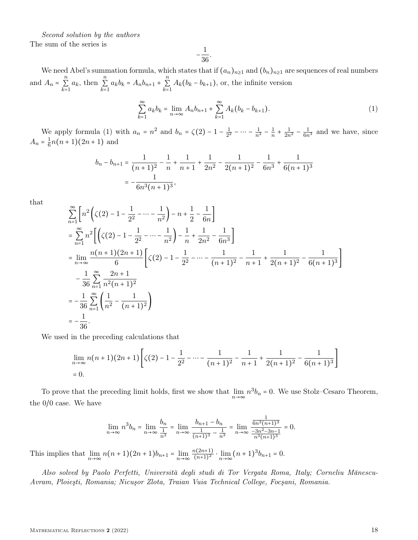Second solution by the authors The sum of the series is

$$
-\frac{1}{36}
$$

.

We need Abel's summation formula, which states that if  $(a_n)_{n\geq 1}$  and  $(b_n)_{n\geq 1}$  are sequences of real numbers and  $A_n = \sum_{n=1}^{n}$  $\sum_{k=1}^{n} a_k$ , then  $\sum_{k=1}^{n} a_k$  $\sum_{k=1}^{n} a_k b_k = A_n b_{n+1} + \sum_{k=1}^{n} a_k b_k$  $\sum_{k=1} A_k(b_k - b_{k+1}),$  or, the infinite version

$$
\sum_{k=1}^{\infty} a_k b_k = \lim_{n \to \infty} A_n b_{n+1} + \sum_{k=1}^{\infty} A_k (b_k - b_{k+1}).
$$
\n(1)

We apply formula (1) with  $a_n = n^2$  and  $b_n = \zeta(2) - 1 - \frac{1}{2^2}$  $\frac{1}{2^2} - \cdots - \frac{1}{n^2} - \frac{1}{n}$  $\frac{1}{n} + \frac{1}{2n^2} - \frac{1}{6n^3}$  and we have, since  $A_n = \frac{1}{6}$  $\frac{1}{6}n(n+1)(2n+1)$  and

$$
b_n - b_{n+1} = \frac{1}{(n+1)^2} - \frac{1}{n} + \frac{1}{n+1} + \frac{1}{2n^2} - \frac{1}{2(n+1)^2} - \frac{1}{6n^3} + \frac{1}{6(n+1)^3}
$$
  
=  $-\frac{1}{6n^3(n+1)^3}$ ,

that

$$
\sum_{n=1}^{\infty} \left[ n^2 \left( \zeta(2) - 1 - \frac{1}{2^2} - \dots - \frac{1}{n^2} \right) - n + \frac{1}{2} - \frac{1}{6n} \right]
$$
\n
$$
= \sum_{n=1}^{\infty} n^2 \left[ \left( \zeta(2) - 1 - \frac{1}{2^2} - \dots - \frac{1}{n^2} \right) - \frac{1}{n} + \frac{1}{2n^2} - \frac{1}{6n^3} \right]
$$
\n
$$
= \lim_{n \to \infty} \frac{n(n+1)(2n+1)}{6} \left[ \zeta(2) - 1 - \frac{1}{2^2} - \dots - \frac{1}{(n+1)^2} - \frac{1}{n+1} + \frac{1}{2(n+1)^2} - \frac{1}{6(n+1)^3} \right]
$$
\n
$$
- \frac{1}{36} \sum_{n=1}^{\infty} \frac{2n+1}{n^2(n+1)^2}
$$
\n
$$
= -\frac{1}{36} \sum_{n=1}^{\infty} \left( \frac{1}{n^2} - \frac{1}{(n+1)^2} \right)
$$
\n
$$
= -\frac{1}{36}.
$$

We used in the preceding calculations that

$$
\lim_{n \to \infty} n(n+1)(2n+1) \left[ \zeta(2) - 1 - \frac{1}{2^2} - \dots - \frac{1}{(n+1)^2} - \frac{1}{n+1} + \frac{1}{2(n+1)^2} - \frac{1}{6(n+1)^3} \right]
$$
  
= 0.

To prove that the preceding limit holds, first we show that  $\lim_{n\to\infty} n^3b_n = 0$ . We use Stolz–Cesaro Theorem, the 0/0 case. We have

$$
\lim_{n \to \infty} n^3 b_n = \lim_{n \to \infty} \frac{b_n}{\frac{1}{n^3}} = \lim_{n \to \infty} \frac{b_{n+1} - b_n}{\frac{1}{(n+1)^3} - \frac{1}{n^3}} = \lim_{n \to \infty} \frac{\frac{1}{6n^3(n+1)^3}}{\frac{-3n^2 - 3n - 1}{n^3(n+1)^3}} = 0.
$$

This implies that  $\lim_{n \to \infty} n(n+1)(2n+1)b_{n+1} = \lim_{n \to \infty} \frac{n(2n+1)}{(n+1)^2}$  $\frac{n(2n+1)}{(n+1)^2} \cdot \lim_{n \to \infty} (n+1)^3 b_{n+1} = 0.$ 

Also solved by Paolo Perfetti, Università degli studi di Tor Vergata Roma, Italy; Corneliu Mănescu-Avram, Ploieşti, Romania; Nicuşor Zlota, Traian Vuia Technical College, Focşani, Romania.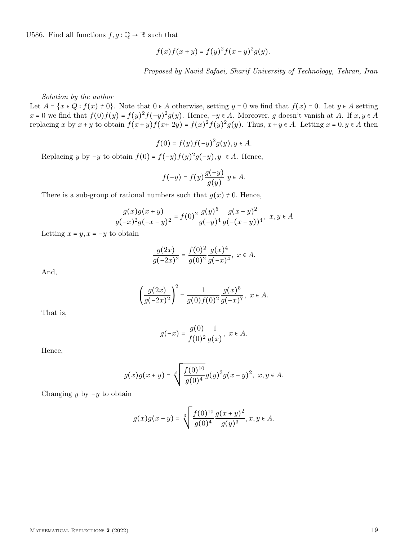U586. Find all functions  $f,g:\mathbb{Q}\to\mathbb{R}$  such that

$$
f(x)f(x + y) = f(y)^{2} f(x - y)^{2} g(y).
$$

Proposed by Navid Safaei, Sharif University of Technology, Tehran, Iran

Solution by the author

Let  $A = \{x \in Q : f(x) \neq 0\}$ . Note that  $0 \in A$  otherwise, setting  $y = 0$  we find that  $f(x) = 0$ . Let  $y \in A$  setting  $x = 0$  we find that  $f(0)f(y) = f(y)^2 f(-y)^2 g(y)$ . Hence,  $-y \in A$ . Moreover, g doesn't vanish at A. If  $x, y \in A$ replacing x by  $x + y$  to obtain  $f(x+y)f(x+2y) = f(x)^2 f(y)^2 g(y)$ . Thus,  $x + y \in A$ . Letting  $x = 0, y \in A$  then

$$
f(0) = f(y)f(-y)^2g(y), y \in A.
$$

Replacing y by  $-y$  to obtain  $f(0) = f(-y)f(y)^2g(-y), y \in A$ . Hence,

$$
f(-y) = f(y)\frac{g(-y)}{g(y)} y \in A.
$$

There is a sub-group of rational numbers such that  $g(x) \neq 0$ . Hence,

$$
\frac{g(x)g(x+y)}{g(-x)^2g(-x-y)^2} = f(0)^2 \frac{g(y)^5}{g(-y)^4} \frac{g(x-y)^2}{g(-(x-y))^4}, \ x, y \in A
$$

Letting  $x = y, x = -y$  to obtain

$$
\frac{g(2x)}{g(-2x)^2} = \frac{f(0)^2}{g(0)^2} \frac{g(x)^4}{g(-x)^4}, \ x \in A.
$$

And,

$$
\left(\frac{g(2x)}{g(-2x)^2}\right)^2 = \frac{1}{g(0)f(0)^2} \frac{g(x)^5}{g(-x)^7}, \ x \in A.
$$

That is,

$$
g(-x) = \frac{g(0)}{f(0)^2} \frac{1}{g(x)}, \ x \in A.
$$

Hence,

$$
g(x)g(x+y) = \sqrt[3]{\frac{f(0)^{10}}{g(0)^4}g(y)^3g(x-y)^2}, \ x, y \in A.
$$

Changing y by  $-y$  to obtain

$$
g(x)g(x-y) = \sqrt[3]{\frac{f(0)^{10}}{g(0)^4}} \frac{g(x+y)^2}{g(y)^3}, x, y \in A.
$$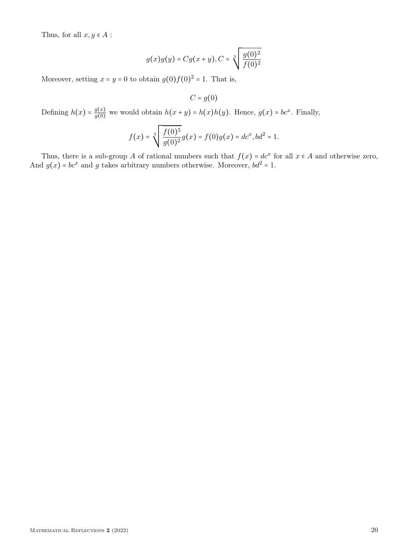Thus, for all  $x, y \in A$ :

$$
g(x)g(y) = Cg(x + y), C = \sqrt[3]{\frac{g(0)^2}{f(0)^2}}
$$

Moreover, setting  $x = y = 0$  to obtain  $g(0)f(0)^2 = 1$ . That is,

$$
C = g(0)
$$

Defining  $h(x) = \frac{g(x)}{g(0)}$  $g(x)$  we would obtain  $h(x + y) = h(x)h(y)$ . Hence,  $g(x) = bc^x$ . Finally,

$$
f(x) = \sqrt[3]{\frac{f(0)^5}{g(0)^2}}g(x) = f(0)g(x) = dc^x, bd^2 = 1.
$$

Thus, there is a sub-group A of rational numbers such that  $f(x) = dc^x$  for all  $x \in A$  and otherwise zero, And  $g(x) = bc^x$  and g takes arbitrary numbers otherwise. Moreover,  $bd^2 = 1$ .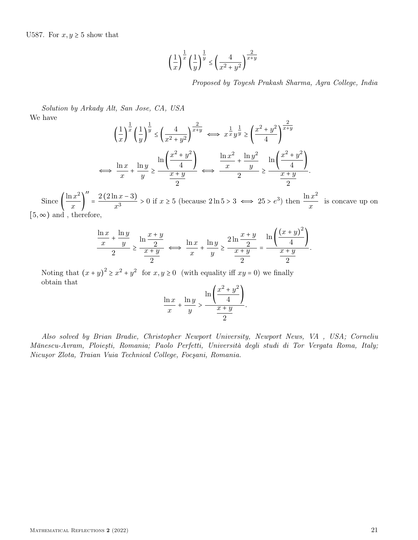$$
\left(\frac{1}{x}\right)^{\frac{1}{x}} \left(\frac{1}{y}\right)^{\frac{1}{y}} \le \left(\frac{4}{x^2 + y^2}\right)^{\frac{2}{x+y}}
$$

Proposed by Toyesh Prakash Sharma, Agra College, India

Solution by Arkady Alt, San Jose, CA, USA We have

$$
\left(\frac{1}{x}\right)^{\frac{1}{x}} \left(\frac{1}{y}\right)^{\frac{1}{y}} \le \left(\frac{4}{x^2 + y^2}\right)^{\frac{2}{x+y}} \iff x^{\frac{1}{x}} y^{\frac{1}{y}} \ge \left(\frac{x^2 + y^2}{4}\right)^{\frac{2}{x+y}} \iff x^{\frac{1}{x}} y^{\frac{1}{y}} \ge \left(\frac{x^2 + y^2}{4}\right)^{\frac{2}{x+y}} \iff \frac{\ln x^2}{x} + \frac{\ln y^2}{y} \ge \frac{\ln \left(\frac{x^2 + y^2}{4}\right)}{2} \iff \frac{\ln x^2}{x} + \frac{\ln y^2}{y} \ge \frac{\ln \left(\frac{x^2 + y^2}{4}\right)}{2}.
$$

Since  $\left(\frac{\ln x^2}{x}\right)$  $\frac{x}{x}$ ′′  $=\frac{2(2\ln x - 3)}{x^3}$  $\frac{\ln x - 3}{x^3} > 0$  if  $x \ge 5$  (because  $2 \ln 5 > 3 \iff 25 > e^3$ ) then  $\frac{\ln x^2}{x}$  $\frac{du}{x}$  is concave up on  $[5, \infty)$  and, therefore,

$$
\frac{\ln x}{x} + \frac{\ln y}{y} \ge \frac{\ln \frac{x+y}{2}}{\frac{x+y}{2}} \iff \frac{\ln x}{x} + \frac{\ln y}{y} \ge \frac{2\ln \frac{x+y}{2}}{\frac{x+y}{2}} = \frac{\ln \left( \frac{(x+y)^2}{4} \right)}{\frac{x+y}{2}}.
$$

Noting that  $(x+y)^2 \ge x^2 + y^2$  for  $x, y \ge 0$  (with equality iff  $xy = 0$ ) we finally obtain that

$$
\frac{\ln x}{x} + \frac{\ln y}{y} > \frac{\ln \left( \frac{x^2 + y^2}{4} \right)}{\frac{x + y}{2}}.
$$

Also solved by Brian Bradie, Christopher Newport University, Newport News, VA , USA; Corneliu Mănescu-Avram, Ploieşti, Romania; Paolo Perfetti, Università degli studi di Tor Vergata Roma, Italy; Nicuşor Zlota, Traian Vuia Technical College, Focşani, Romania.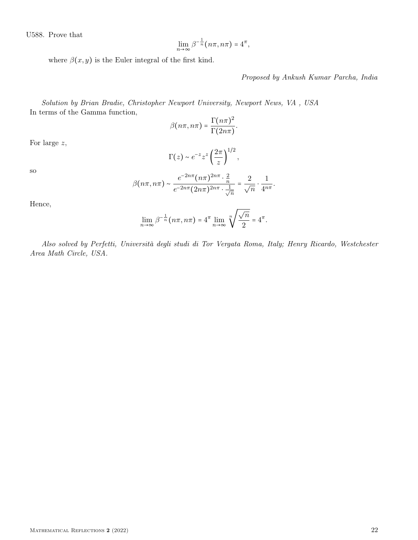U588. Prove that

$$
\lim_{n\to\infty}\beta^{-\frac{1}{n}}(n\pi,n\pi)=4^{\pi},
$$

where  $\beta(x, y)$  is the Euler integral of the first kind.

## Proposed by Ankush Kumar Parcha, India

Solution by Brian Bradie, Christopher Newport University, Newport News, VA , USA In terms of the Gamma function,

$$
\beta(n\pi, n\pi) = \frac{\Gamma(n\pi)^2}{\Gamma(2n\pi)}.
$$

For large z,

$$
\Gamma(z) \sim e^{-z} z^z \left(\frac{2\pi}{z}\right)^{1/2},
$$

so

$$
\beta(n\pi,n\pi) \sim \frac{e^{-2n\pi}(n\pi)^{2n\pi} \cdot \frac{2}{n}}{e^{-2n\pi}(2n\pi)^{2n\pi} \cdot \frac{1}{\sqrt{n}}} = \frac{2}{\sqrt{n}} \cdot \frac{1}{4^{n\pi}}.
$$

Hence,

$$
\lim_{n \to \infty} \beta^{-\frac{1}{n}} (n\pi, n\pi) = 4^{\pi} \lim_{n \to \infty} \sqrt[n]{\frac{\sqrt{n}}{2}} = 4^{\pi}.
$$

Also solved by Perfetti, Università degli studi di Tor Vergata Roma, Italy; Henry Ricardo, Westchester Area Math Circle, USA.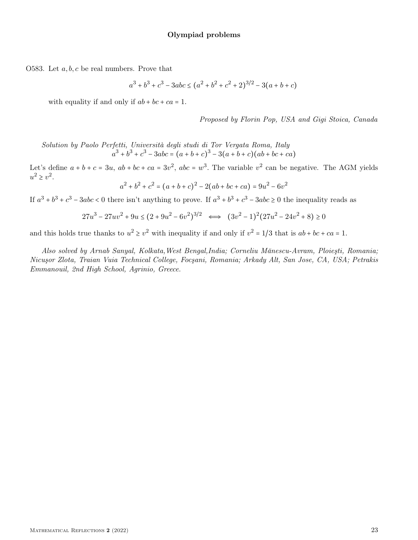O583. Let  $a, b, c$  be real numbers. Prove that

$$
a^{3} + b^{3} + c^{3} - 3abc \le (a^{2} + b^{2} + c^{2} + 2)^{3/2} - 3(a + b + c)
$$

with equality if and only if  $ab + bc + ca = 1$ .

Proposed by Florin Pop, USA and Gigi Stoica, Canada

Solution by Paolo Perfetti, Università degli studi di Tor Vergata Roma, Italy  $a^3 + b^3 + c^3 - 3abc = (a + b + c)^3 - 3(a + b + c)(ab + bc + ca)$ 

Let's define  $a + b + c = 3u$ ,  $ab + bc + ca = 3v^2$ ,  $abc = w^3$ . The variable  $v^2$  can be negative. The AGM yields  $u^2 \geq v^2$ .

 $a^2 + b^2 + c^2 = (a + b + c)^2 - 2(ab + bc + ca) = 9u^2 - 6v^2$ 

If  $a^3 + b^3 + c^3 - 3abc < 0$  there isn't anything to prove. If  $a^3 + b^3 + c^3 - 3abc \ge 0$  the inequality reads as

$$
27u^3 - 27uv^2 + 9u \le (2 + 9u^2 - 6v^2)^{3/2} \iff (3v^2 - 1)^2(27u^2 - 24v^2 + 8) \ge 0
$$

and this holds true thanks to  $u^2 \ge v^2$  with inequality if and only if  $v^2 = 1/3$  that is  $ab + bc + ca = 1$ .

Also solved by Arnab Sanyal, Kolkata,West Bengal,India; Corneliu Mănescu-Avram, Ploieşti, Romania; Nicuşor Zlota, Traian Vuia Technical College, Focşani, Romania; Arkady Alt, San Jose, CA, USA; Petrakis Emmanouil, 2nd High School, Agrinio, Greece.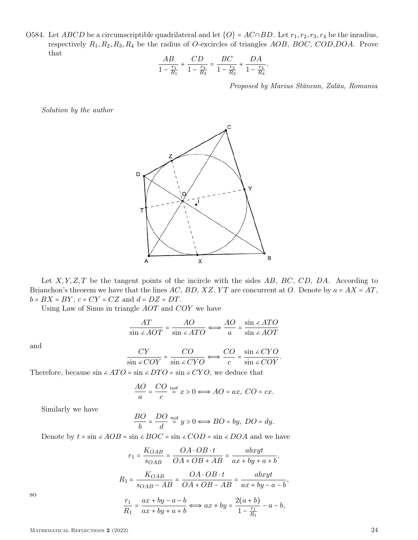O584. Let ABCD be a circumscriptible quadrilateral and let  $\{O\}$  = AC∩BD. Let  $r_1, r_2, r_3, r_4$  be the inradius, respectively  $R_1, R_2, R_3, R_4$  be the radius of O-excircles of triangles  $AOB$ ,  $BOC$ ,  $COD$ ,  $DOA$ . Prove that

$$
\frac{AB}{1 - \frac{r_1}{R_1}} + \frac{CD}{1 - \frac{r_3}{R_3}} = \frac{BC}{1 - \frac{r_2}{R_2}} + \frac{DA}{1 - \frac{r_4}{R_4}}.
$$

Proposed by Marius Stănean, Zalău, Romania

Solution by the author



Let  $X, Y, Z, T$  be the tangent points of the incircle with the sides  $AB, BC, CD, DA$ . According to Brianchon's theorem we have that the lines AC, BD, XZ, YT are concurrent at O. Denote by  $a = AX = AT$ ,  $b = BX = BY$ ,  $c = CY = CZ$  and  $d = DZ = DT$ .

Using Law of Sinus in triangle AOT and COY we have

$$
\frac{AT}{\sin 2 AOT} = \frac{AO}{\sin 2 ATO} \Longleftrightarrow \frac{AO}{a} = \frac{\sin 2 ATO}{\sin 2 AOT}
$$

and

$$
\frac{CY}{\sin \angle COY} = \frac{CO}{\sin \angle CYO} \Longleftrightarrow \frac{CO}{c} = \frac{\sin \angle CYO}{\sin \angle COY}.
$$

Therefore, because  $\sin \angle ATO = \sin \angle DTO = \sin \angle CYO$ , we deduce that

$$
\frac{AO}{a} = \frac{CO}{c} \stackrel{net}{=} x > 0 \Longleftrightarrow AO = ax, \ CO = cx.
$$

Similarly we have

$$
\frac{BO}{b} = \frac{DO}{d} \stackrel{net}{=} y > 0 \Longleftrightarrow BO = by, \ DO = dy.
$$

Denote by  $t = \sin \angle AOB = \sin \angle BOC = \sin \angle COD = \sin \angle DOA$  and we have

$$
r_1 = \frac{K_{OAB}}{s_{OAB}} = \frac{OA \cdot OB \cdot t}{OA + OB + AB} = \frac{abxyt}{ax + by + a + b},
$$

$$
R_1 = \frac{K_{OAB}}{s_{OAB} - AB} = \frac{OA \cdot OB \cdot t}{OA + OB - AB} = \frac{abxyt}{ax + by - a - b},
$$

$$
\frac{r_1}{R_1} = \frac{ax + by - a - b}{ax + by + a + b} \Longleftrightarrow ax + by = \frac{2(a + b)}{1 - \frac{r_1}{R_1}} - a - b,
$$

so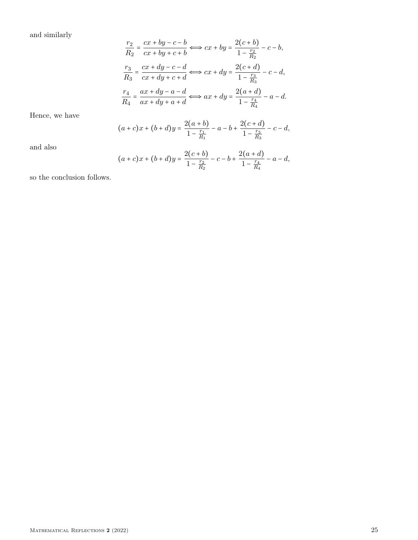and similarly

$$
\frac{r_2}{R_2} = \frac{cx + by - c - b}{cx + by + c + b} \iff cx + by = \frac{2(c + b)}{1 - \frac{r_2}{R_2}} - c - b,
$$
\n
$$
\frac{r_3}{R_3} = \frac{cx + dy - c - d}{cx + dy + c + d} \iff cx + dy = \frac{2(c + d)}{1 - \frac{r_3}{R_3}} - c - d,
$$
\n
$$
\frac{r_4}{R_4} = \frac{ax + dy - a - d}{ax + dy + a + d} \iff ax + dy = \frac{2(a + d)}{1 - \frac{r_4}{R_4}} - a - d.
$$

Hence, we have

$$
(a+c)x + (b+d)y = \frac{2(a+b)}{1 - \frac{r_1}{R_1}} - a - b + \frac{2(c+d)}{1 - \frac{r_3}{R_3}} - c - d,
$$

and also

$$
(a+c)x + (b+d)y = \frac{2(c+b)}{1 - \frac{r_2}{R_2}} - c - b + \frac{2(a+d)}{1 - \frac{r_4}{R_4}} - a - d,
$$

so the conclusion follows.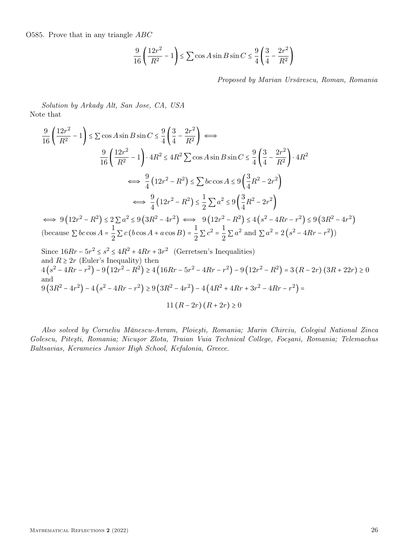O585. Prove that in any triangle ABC

$$
\frac{9}{16} \left( \frac{12r^2}{R^2} - 1 \right) \le \sum \cos A \sin B \sin C \le \frac{9}{4} \left( \frac{3}{4} - \frac{2r^2}{R^2} \right)
$$

Proposed by Marian Ursărescu, Roman, Romania

Solution by Arkady Alt, San Jose, CA, USA Note that

$$
\frac{9}{16} \left( \frac{12r^2}{R^2} - 1 \right) \le \sum \cos A \sin B \sin C \le \frac{9}{4} \left( \frac{3}{4} - \frac{2r^2}{R^2} \right) \iff
$$
\n
$$
\frac{9}{16} \left( \frac{12r^2}{R^2} - 1 \right) \cdot 4R^2 \le 4R^2 \sum \cos A \sin B \sin C \le \frac{9}{4} \left( \frac{3}{4} - \frac{2r^2}{R^2} \right) \cdot 4R^2
$$
\n
$$
\iff \frac{9}{4} \left( 12r^2 - R^2 \right) \le \sum bc \cos A \le 9 \left( \frac{3}{4}R^2 - 2r^2 \right)
$$
\n
$$
\iff \frac{9}{4} \left( 12r^2 - R^2 \right) \le \frac{1}{2} \sum a^2 \le 9 \left( \frac{3}{4}R^2 - 2r^2 \right)
$$
\n
$$
\iff 9 \left( 12r^2 - R^2 \right) \le 2 \sum a^2 \le 9 \left( 3R^2 - 4r^2 \right) \iff 9 \left( 12r^2 - R^2 \right) \le 4 \left( s^2 - 4Rr - r^2 \right) \le 9 \left( 3R^2 - 4r^2 \right)
$$
\n(because  $\sum bc \cos A = \frac{1}{2} \sum c \left( b \cos A + a \cos B \right) = \frac{1}{2} \sum c^2 = \frac{1}{2} \sum a^2$  and  $\sum a^2 = 2 \left( s^2 - 4Rr - r^2 \right)$ )\nSince  $16Rr - 5r^2 \le s^2 \le 4R^2 + 4Rr + 3r^2$  (Gerretsen's Inequalities)

(Gerretsen's Inequalities) and  $R \geq 2r$  (Euler's Inequality) then  $4(s^2 - 4Rr - r^2) - 9(12r^2 - R^2) \ge 4(16Rr - 5r^2 - 4Rr - r^2) - 9(12r^2 - R^2) = 3(R - 2r)(3R + 22r) \ge 0$ and  $9(3R^2 - 4r^2) - 4(s^2 - 4Rr - r^2) \ge 9(3R^2 - 4r^2) - 4(4R^2 + 4Rr + 3r^2 - 4Rr - r^2) =$ 11  $(R - 2r)(R + 2r) \ge 0$ 

Also solved by Corneliu Mănescu-Avram, Ploieşti, Romania; Marin Chirciu, Colegiul National Zinca Golescu, Piteşti, Romania; Nicuşor Zlota, Traian Vuia Technical College, Focşani, Romania; Telemachus Baltsavias, Kerameies Junior High School, Kefalonia, Greece.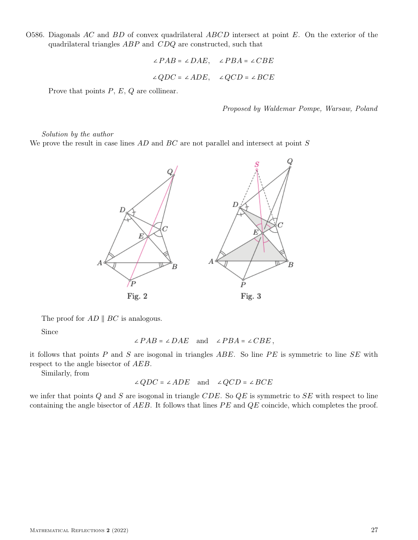O586. Diagonals AC and  $BD$  of convex quadrilateral  $ABCD$  intersect at point E. On the exterior of the quadrilateral triangles ABP and CDQ are constructed, such that

$$
\angle PAB = \angle DAE, \quad \angle PBA = \angle CBE
$$

$$
\angle QDC = \angle ADE, \quad \angle QCD = \angle BCE
$$

Prove that points  $P, E, Q$  are collinear.

Proposed by Waldemar Pompe, Warsaw, Poland

Solution by the author

We prove the result in case lines  $AD$  and  $BC$  are not parallel and intersect at point  $S$ 



The proof for  $AD \parallel BC$  is analogous.

Since

$$
\angle PAB = \angle DAE \quad \text{and} \quad \angle PBA = \angle CBE \,,
$$

it follows that points  $P$  and  $S$  are isogonal in triangles  $ABE$ . So line  $PE$  is symmetric to line  $SE$  with respect to the angle bisector of AEB.

Similarly, from

∠ $QDC = \angle ADE$  and ∠ $QCD = \angle BCE$ 

we infer that points  $Q$  and  $S$  are isogonal in triangle CDE. So  $QE$  is symmetric to  $SE$  with respect to line containing the angle bisector of  $AEB$ . It follows that lines  $PE$  and  $QE$  coincide, which completes the proof.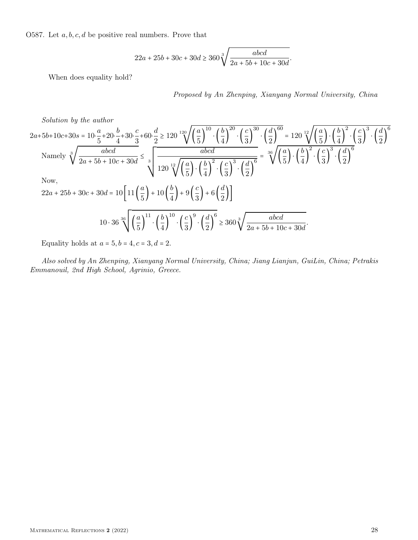O587. Let  $a, b, c, d$  be positive real numbers. Prove that

$$
22a + 25b + 30c + 30d \ge 360\sqrt[3]{\frac{abcd}{2a + 5b + 10c + 30d}}.
$$

When does equality hold?

Proposed by An Zhenping, Xianyang Normal University, China

Solution by the author

2a+5b+10c+30s = 
$$
10.\frac{a}{5}+20.\frac{b}{4}+30.\frac{c}{3}+60.\frac{d}{2} \ge 120 \sqrt[120]{(\frac{a}{5})^{10} \cdot (\frac{b}{4})^{20} \cdot (\frac{c}{3})^{30}} \cdot (\frac{d}{2})^{60} = 120 \sqrt[120]{(\frac{a}{5}) \cdot (\frac{b}{4})^{2} \cdot (\frac{c}{3})^{3}} \cdot (\frac{d}{2})^{6}
$$
  
\nNamely  $\sqrt[3]{\frac{abcd}{2a+5b+10c+30d}} \le \sqrt[3]{\frac{abcd}{120 \sqrt[120]{(\frac{a}{5}) \cdot (\frac{b}{4})^{2} \cdot (\frac{c}{3})^{3}} \cdot (\frac{d}{2})^{6}} = \sqrt[36]{(\frac{a}{5}) \cdot (\frac{b}{4})^{2} \cdot (\frac{c}{3})^{3} \cdot (\frac{d}{2})^{6}}$   
\nNow,  
\n22a + 25b + 30c + 30d =  $10 \left[ 11 (\frac{a}{5}) + 10 (\frac{b}{4}) + 9 (\frac{c}{3}) + 6 (\frac{d}{2}) \right]$   
\n $10 \cdot 36 \sqrt[36]{(\frac{a}{5})^{11} \cdot (\frac{b}{4})^{10} \cdot (\frac{c}{3})^{9} \cdot (\frac{d}{2})^{6}} \ge 360 \sqrt[3]{\frac{abcd}{2a+5b+10c+30d}}$ .

Equality holds at  $a = 5$ ,  $b = 4$ ,  $c = 3$ ,  $d = 2$ .

Also solved by An Zhenping, Xianyang Normal University, China; Jiang Lianjun, GuiLin, China; Petrakis Emmanouil, 2nd High School, Agrinio, Greece.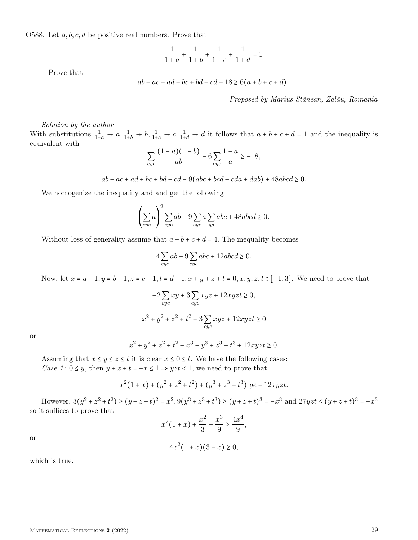O588. Let  $a, b, c, d$  be positive real numbers. Prove that

$$
\frac{1}{1+a}+\frac{1}{1+b}+\frac{1}{1+c}+\frac{1}{1+d}=1
$$

Prove that

$$
ab + ac + ad + bc + bd + cd + 18 \ge 6(a + b + c + d).
$$

Proposed by Marius Stănean, Zalău, Romania

Solution by the author

With substitutions  $\frac{1}{1+a} \to a$ ,  $\frac{1}{1+b} \to b$ ,  $\frac{1}{1+c} \to c$ ,  $\frac{1}{1+d} \to d$  it follows that  $a+b+c+d=1$  and the inequality is equivalent with

$$
\sum_{cyc} \frac{(1-a)(1-b)}{ab} - 6\sum_{cyc} \frac{1-a}{a} \ge -18,
$$

 $ab + ac + ad + bc + bd + cd - 9(abc + bcd + cda + dab) + 48abcd \ge 0.$ 

We homogenize the inequality and and get the following

$$
\left(\sum_{cyc} a\right)^2 \sum_{cyc} ab - 9 \sum_{cyc} a \sum_{cyc} abc + 48abcd \ge 0.
$$

Without loss of generality assume that  $a + b + c + d = 4$ . The inequality becomes

$$
4\sum_{cyc} ab - 9\sum_{cyc} abc + 12abcd \ge 0.
$$

Now, let  $x = a - 1$ ,  $y = b - 1$ ,  $z = c - 1$ ,  $t = d - 1$ ,  $x + y + z + t = 0$ ,  $x, y, z, t \in [-1, 3]$ . We need to prove that

$$
-2\sum_{cyc} xy + 3\sum_{cyc} xyz + 12xyz \ge 0,
$$
  

$$
x^2 + y^2 + z^2 + t^2 + 3\sum_{cyc} xyz + 12xyz \ge 0
$$

or

$$
x^{2} + y^{2} + z^{2} + t^{2} + x^{3} + y^{3} + z^{3} + t^{3} + 12xyz \leq 0.
$$

Assuming that  $x \leq y \leq z \leq t$  it is clear  $x \leq 0 \leq t$ . We have the following cases: Case 1:  $0 \le y$ , then  $y + z + t = -x \le 1 \Rightarrow yzt < 1$ , we need to prove that

$$
x^{2}(1+x) + (y^{2} + z^{2} + t^{2}) + (y^{3} + z^{3} + t^{3}) \text{ ge } -12xyzt.
$$

However,  $3(y^2 + z^2 + t^2) \ge (y + z + t)^2 = x^2$ ,  $9(y^3 + z^3 + t^3) \ge (y + z + t)^3 = -x^3$  and  $27yzt \le (y + z + t)^3 = -x^3$ so it suffices to prove that

$$
x^{2}(1+x) + \frac{x^{2}}{3} - \frac{x^{3}}{9} \ge \frac{4x^{4}}{9},
$$

or

$$
4x^2(1+x)(3-x) \ge 0,
$$

which is true.